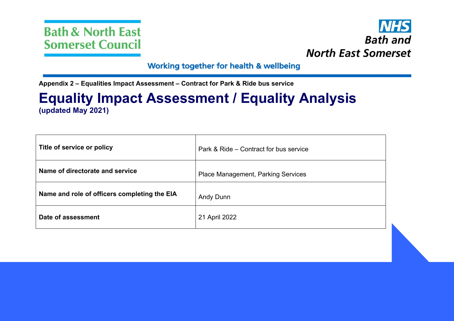



#### Working together for health & wellbeing

**Appendix 2 – Equalities Impact Assessment – Contract for Park & Ride bus service**

# **Equality Impact Assessment / Equality Analysis (updated May 2021)**

| Title of service or policy                   | Park & Ride – Contract for bus service    |
|----------------------------------------------|-------------------------------------------|
| Name of directorate and service              | <b>Place Management, Parking Services</b> |
| Name and role of officers completing the EIA | <b>Andy Dunn</b>                          |
| Date of assessment                           | 21 April 2022                             |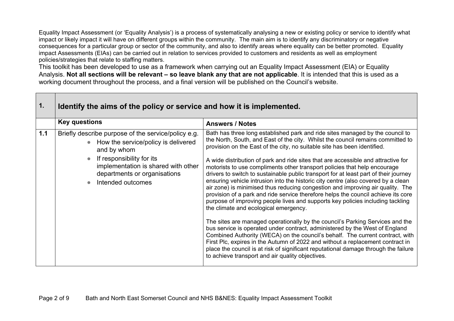Equality Impact Assessment (or 'Equality Analysis') is a process of systematically analysing a new or existing policy or service to identify what impact or likely impact it will have on different groups within the community. The main aim is to identify any discriminatory or negative consequences for a particular group or sector of the community, and also to identify areas where equality can be better promoted. Equality impact Assessments (EIAs) can be carried out in relation to services provided to customers and residents as well as employment policies/strategies that relate to staffing matters.

This toolkit has been developed to use as a framework when carrying out an Equality Impact Assessment (EIA) or Equality Analysis. Not all sections will be relevant – so leave blank any that are not applicable. It is intended that this is used as a working document throughout the process, and a final version will be published on the Council's website.

| 1.  | Identify the aims of the policy or service and how it is implemented.                                                                                                                                                              |                                                                                                                                                                                                                                                                                                                                                                                                                                                                                                                                                                                                                                                                                                                                                                                                                                                                                                                                                                                                                                                                                                                                                                                                                                                                                                                                                                             |  |  |
|-----|------------------------------------------------------------------------------------------------------------------------------------------------------------------------------------------------------------------------------------|-----------------------------------------------------------------------------------------------------------------------------------------------------------------------------------------------------------------------------------------------------------------------------------------------------------------------------------------------------------------------------------------------------------------------------------------------------------------------------------------------------------------------------------------------------------------------------------------------------------------------------------------------------------------------------------------------------------------------------------------------------------------------------------------------------------------------------------------------------------------------------------------------------------------------------------------------------------------------------------------------------------------------------------------------------------------------------------------------------------------------------------------------------------------------------------------------------------------------------------------------------------------------------------------------------------------------------------------------------------------------------|--|--|
|     | <b>Key questions</b>                                                                                                                                                                                                               | <b>Answers / Notes</b>                                                                                                                                                                                                                                                                                                                                                                                                                                                                                                                                                                                                                                                                                                                                                                                                                                                                                                                                                                                                                                                                                                                                                                                                                                                                                                                                                      |  |  |
| 1.1 | Briefly describe purpose of the service/policy e.g.<br>How the service/policy is delivered<br>and by whom<br>If responsibility for its<br>implementation is shared with other<br>departments or organisations<br>Intended outcomes | Bath has three long established park and ride sites managed by the council to<br>the North, South, and East of the city. Whilst the council remains committed to<br>provision on the East of the city, no suitable site has been identified.<br>A wide distribution of park and ride sites that are accessible and attractive for<br>motorists to use compliments other transport policies that help encourage<br>drivers to switch to sustainable public transport for at least part of their journey<br>ensuring vehicle intrusion into the historic city centre (also covered by a clean<br>air zone) is minimised thus reducing congestion and improving air quality. The<br>provision of a park and ride service therefore helps the council achieve its core<br>purpose of improving people lives and supports key policies including tackling<br>the climate and ecological emergency.<br>The sites are managed operationally by the council's Parking Services and the<br>bus service is operated under contract, administered by the West of England<br>Combined Authority (WECA) on the council's behalf. The current contract, with<br>First Plc, expires in the Autumn of 2022 and without a replacement contract in<br>place the council is at risk of significant reputational damage through the failure<br>to achieve transport and air quality objectives. |  |  |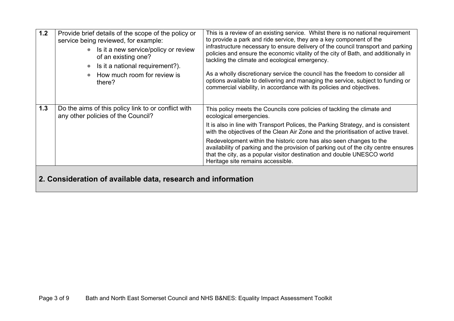| 1.2 | Provide brief details of the scope of the policy or<br>service being reviewed, for example:<br>Is it a new service/policy or review<br>of an existing one?<br>Is it a national requirement?).<br>How much room for review is<br>there? | This is a review of an existing service. Whilst there is no national requirement<br>to provide a park and ride service, they are a key component of the<br>infrastructure necessary to ensure delivery of the council transport and parking<br>policies and ensure the economic vitality of the city of Bath, and additionally in<br>tackling the climate and ecological emergency.<br>As a wholly discretionary service the council has the freedom to consider all<br>options available to delivering and managing the service, subject to funding or<br>commercial viability, in accordance with its policies and objectives. |  |  |
|-----|----------------------------------------------------------------------------------------------------------------------------------------------------------------------------------------------------------------------------------------|----------------------------------------------------------------------------------------------------------------------------------------------------------------------------------------------------------------------------------------------------------------------------------------------------------------------------------------------------------------------------------------------------------------------------------------------------------------------------------------------------------------------------------------------------------------------------------------------------------------------------------|--|--|
| 1.3 | Do the aims of this policy link to or conflict with<br>any other policies of the Council?                                                                                                                                              | This policy meets the Councils core policies of tackling the climate and<br>ecological emergencies.<br>It is also in line with Transport Polices, the Parking Strategy, and is consistent<br>with the objectives of the Clean Air Zone and the prioritisation of active travel.                                                                                                                                                                                                                                                                                                                                                  |  |  |
|     |                                                                                                                                                                                                                                        | Redevelopment within the historic core has also seen changes to the<br>availability of parking and the provision of parking out of the city centre ensures<br>that the city, as a popular visitor destination and double UNESCO world<br>Heritage site remains accessible.                                                                                                                                                                                                                                                                                                                                                       |  |  |
|     | e af cucilable dete pesso                                                                                                                                                                                                              |                                                                                                                                                                                                                                                                                                                                                                                                                                                                                                                                                                                                                                  |  |  |

#### **2. Consideration of available data, research and information**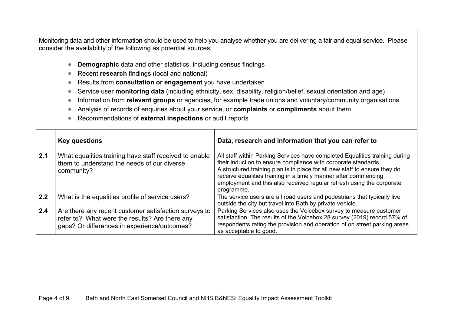Monitoring data and other information should be used to help you analyse whether you are delivering a fair and equal service. Please consider the availability of the following as potential sources:

- **Demographic** data and other statistics, including census findings
- Recent **research** findings (local and national)
- Results from **consultation or engagement** you have undertaken
- Service user **monitoring data** (including ethnicity, sex, disability, religion/belief, sexual orientation and age)
- **Information from <b>relevant groups** or agencies, for example trade unions and voluntary/community organisations
- Analysis of records of enquiries about your service, or **complaints** or **compliments** about them
- Recommendations of **external inspections** or audit reports

|     | <b>Key questions</b>                                                                                                                                    | Data, research and information that you can refer to                                                                                                                                                                                                                                                                                                                                  |
|-----|---------------------------------------------------------------------------------------------------------------------------------------------------------|---------------------------------------------------------------------------------------------------------------------------------------------------------------------------------------------------------------------------------------------------------------------------------------------------------------------------------------------------------------------------------------|
| 2.1 | What equalities training have staff received to enable<br>them to understand the needs of our diverse<br>community?                                     | All staff within Parking Services have completed Equalities training during<br>their induction to ensure compliance with corporate standards.<br>A structured training plan is in place for all new staff to ensure they do<br>receive equalities training in a timely manner after commencing<br>employment and this also received regular refresh using the corporate<br>programme. |
| 2.2 | What is the equalities profile of service users?                                                                                                        | The service users are all road users and pedestrians that typically live<br>outside the city but travel into Bath by private vehicle.                                                                                                                                                                                                                                                 |
| 2.4 | Are there any recent customer satisfaction surveys to<br>refer to? What were the results? Are there any<br>gaps? Or differences in experience/outcomes? | Parking Services also uses the Voicebox survey to measure customer<br>satisfaction. The results of the Voicebox 28 survey (2019) record 57% of<br>respondents rating the provision and operation of on street parking areas<br>as acceptable to good.                                                                                                                                 |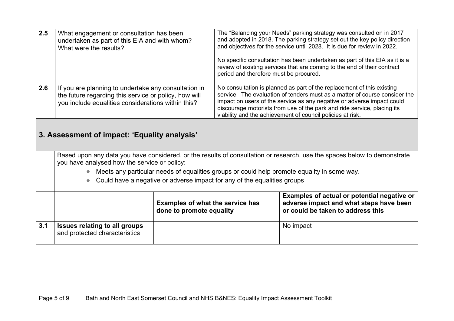| 2.5 | What engagement or consultation has been<br>undertaken as part of this EIA and with whom?<br>What were the results?                                                      |                                                                                                                                                                                                                                                                                                                                                                                                                                                                                                                                                | period and therefore must be procured. | The "Balancing your Needs" parking strategy was consulted on in 2017<br>and adopted in 2018. The parking strategy set out the key policy direction<br>and objectives for the service until 2028. It is due for review in 2022.<br>No specific consultation has been undertaken as part of this EIA as it is a<br>review of existing services that are coming to the end of their contract |  |
|-----|--------------------------------------------------------------------------------------------------------------------------------------------------------------------------|------------------------------------------------------------------------------------------------------------------------------------------------------------------------------------------------------------------------------------------------------------------------------------------------------------------------------------------------------------------------------------------------------------------------------------------------------------------------------------------------------------------------------------------------|----------------------------------------|-------------------------------------------------------------------------------------------------------------------------------------------------------------------------------------------------------------------------------------------------------------------------------------------------------------------------------------------------------------------------------------------|--|
| 2.6 |                                                                                                                                                                          | No consultation is planned as part of the replacement of this existing<br>If you are planning to undertake any consultation in<br>service. The evaluation of tenders must as a matter of course consider the<br>the future regarding this service or policy, how will<br>impact on users of the service as any negative or adverse impact could<br>you include equalities considerations within this?<br>discourage motorists from use of the park and ride service, placing its<br>viability and the achievement of council policies at risk. |                                        |                                                                                                                                                                                                                                                                                                                                                                                           |  |
|     | 3. Assessment of impact: 'Equality analysis'                                                                                                                             |                                                                                                                                                                                                                                                                                                                                                                                                                                                                                                                                                |                                        |                                                                                                                                                                                                                                                                                                                                                                                           |  |
|     | Based upon any data you have considered, or the results of consultation or research, use the spaces below to demonstrate<br>you have analysed how the service or policy: |                                                                                                                                                                                                                                                                                                                                                                                                                                                                                                                                                |                                        |                                                                                                                                                                                                                                                                                                                                                                                           |  |
|     | Meets any particular needs of equalities groups or could help promote equality in some way.                                                                              |                                                                                                                                                                                                                                                                                                                                                                                                                                                                                                                                                |                                        |                                                                                                                                                                                                                                                                                                                                                                                           |  |
|     | Could have a negative or adverse impact for any of the equalities groups<br>$\bullet$                                                                                    |                                                                                                                                                                                                                                                                                                                                                                                                                                                                                                                                                |                                        |                                                                                                                                                                                                                                                                                                                                                                                           |  |
|     |                                                                                                                                                                          | <b>Examples of what the service has</b><br>done to promote equality                                                                                                                                                                                                                                                                                                                                                                                                                                                                            |                                        | Examples of actual or potential negative or<br>adverse impact and what steps have been<br>or could be taken to address this                                                                                                                                                                                                                                                               |  |
| 3.1 | <b>Issues relating to all groups</b><br>and protected characteristics                                                                                                    |                                                                                                                                                                                                                                                                                                                                                                                                                                                                                                                                                |                                        | No impact                                                                                                                                                                                                                                                                                                                                                                                 |  |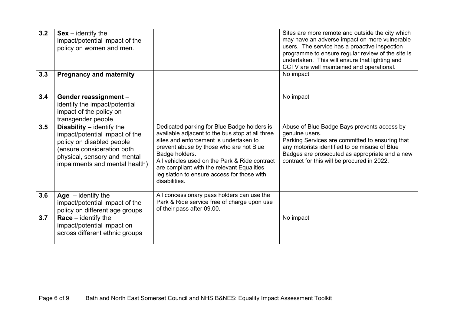| 3.2 | $Sex - identity$ the<br>impact/potential impact of the<br>policy on women and men.                                                                                                                |                                                                                                                                                                                                                                                                                                                                                                      | Sites are more remote and outside the city which<br>may have an adverse impact on more vulnerable<br>users. The service has a proactive inspection<br>programme to ensure regular review of the site is<br>undertaken. This will ensure that lighting and<br>CCTV are well maintained and operational. |
|-----|---------------------------------------------------------------------------------------------------------------------------------------------------------------------------------------------------|----------------------------------------------------------------------------------------------------------------------------------------------------------------------------------------------------------------------------------------------------------------------------------------------------------------------------------------------------------------------|--------------------------------------------------------------------------------------------------------------------------------------------------------------------------------------------------------------------------------------------------------------------------------------------------------|
| 3.3 | <b>Pregnancy and maternity</b>                                                                                                                                                                    |                                                                                                                                                                                                                                                                                                                                                                      | No impact                                                                                                                                                                                                                                                                                              |
| 3.4 | Gender reassignment -<br>identify the impact/potential<br>impact of the policy on<br>transgender people                                                                                           |                                                                                                                                                                                                                                                                                                                                                                      | No impact                                                                                                                                                                                                                                                                                              |
| 3.5 | <b>Disability</b> $-$ identify the<br>impact/potential impact of the<br>policy on disabled people<br>(ensure consideration both<br>physical, sensory and mental<br>impairments and mental health) | Dedicated parking for Blue Badge holders is<br>available adjacent to the bus stop at all three<br>sites and enforcement is undertaken to<br>prevent abuse by those who are not Blue<br>Badge holders.<br>All vehicles used on the Park & Ride contract<br>are compliant with the relevant Equalities<br>legislation to ensure access for those with<br>disabilities. | Abuse of Blue Badge Bays prevents access by<br>genuine users.<br>Parking Services are committed to ensuring that<br>any motorists identified to be misuse of Blue<br>Badges are prosecuted as appropriate and a new<br>contract for this will be procured in 2022.                                     |
| 3.6 | Age $-$ identify the<br>impact/potential impact of the<br>policy on different age groups                                                                                                          | All concessionary pass holders can use the<br>Park & Ride service free of charge upon use<br>of their pass after 09.00.                                                                                                                                                                                                                                              |                                                                                                                                                                                                                                                                                                        |
| 3.7 | $Race - identity the$<br>impact/potential impact on<br>across different ethnic groups                                                                                                             |                                                                                                                                                                                                                                                                                                                                                                      | No impact                                                                                                                                                                                                                                                                                              |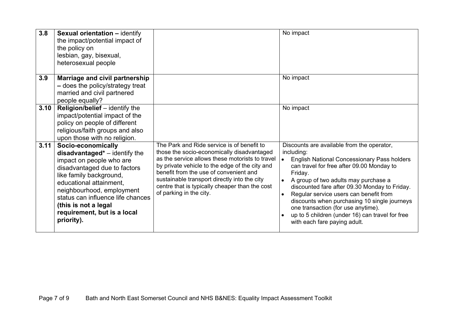| 3.8  | <b>Sexual orientation - identify</b><br>the impact/potential impact of<br>the policy on<br>lesbian, gay, bisexual,<br>heterosexual people                                                                                                                                                                       |                                                                                                                                                                                                                                                                                                                                                                      | No impact                                                                                                                                                                                                                                                                                                                                                                                                                                                                                                    |
|------|-----------------------------------------------------------------------------------------------------------------------------------------------------------------------------------------------------------------------------------------------------------------------------------------------------------------|----------------------------------------------------------------------------------------------------------------------------------------------------------------------------------------------------------------------------------------------------------------------------------------------------------------------------------------------------------------------|--------------------------------------------------------------------------------------------------------------------------------------------------------------------------------------------------------------------------------------------------------------------------------------------------------------------------------------------------------------------------------------------------------------------------------------------------------------------------------------------------------------|
| 3.9  | Marriage and civil partnership<br>- does the policy/strategy treat<br>married and civil partnered<br>people equally?                                                                                                                                                                                            |                                                                                                                                                                                                                                                                                                                                                                      | No impact                                                                                                                                                                                                                                                                                                                                                                                                                                                                                                    |
| 3.10 | Religion/belief - identify the<br>impact/potential impact of the<br>policy on people of different<br>religious/faith groups and also<br>upon those with no religion.                                                                                                                                            |                                                                                                                                                                                                                                                                                                                                                                      | No impact                                                                                                                                                                                                                                                                                                                                                                                                                                                                                                    |
| 3.11 | Socio-economically<br>$disadvantage'd* - identity$ the<br>impact on people who are<br>disadvantaged due to factors<br>like family background,<br>educational attainment,<br>neighbourhood, employment<br>status can influence life chances<br>(this is not a legal<br>requirement, but is a local<br>priority). | The Park and Ride service is of benefit to<br>those the socio-economically disadvantaged<br>as the service allows these motorists to travel<br>by private vehicle to the edge of the city and<br>benefit from the use of convenient and<br>sustainable transport directly into the city<br>centre that is typically cheaper than the cost<br>of parking in the city. | Discounts are available from the operator,<br>including:<br><b>English National Concessionary Pass holders</b><br>can travel for free after 09.00 Monday to<br>Friday.<br>A group of two adults may purchase a<br>discounted fare after 09.30 Monday to Friday.<br>Regular service users can benefit from<br>$\bullet$<br>discounts when purchasing 10 single journeys<br>one transaction (for use anytime).<br>up to 5 children (under 16) can travel for free<br>$\bullet$<br>with each fare paying adult. |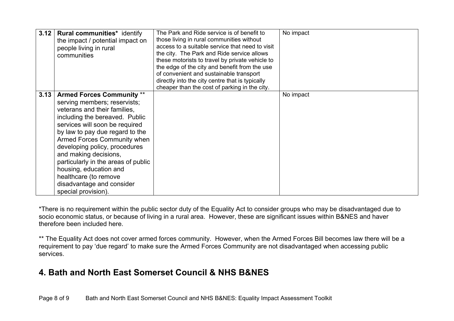| 3.12 | <b>Rural communities*</b> identify<br>the impact / potential impact on<br>people living in rural<br>communities                                                                                                                                                                                                                                                                                                                                | The Park and Ride service is of benefit to<br>those living in rural communities without<br>access to a suitable service that need to visit<br>the city. The Park and Ride service allows<br>these motorists to travel by private vehicle to<br>the edge of the city and benefit from the use<br>of convenient and sustainable transport<br>directly into the city centre that is typically<br>cheaper than the cost of parking in the city. | No impact |
|------|------------------------------------------------------------------------------------------------------------------------------------------------------------------------------------------------------------------------------------------------------------------------------------------------------------------------------------------------------------------------------------------------------------------------------------------------|---------------------------------------------------------------------------------------------------------------------------------------------------------------------------------------------------------------------------------------------------------------------------------------------------------------------------------------------------------------------------------------------------------------------------------------------|-----------|
| 3.13 | <b>Armed Forces Community **</b><br>serving members; reservists;<br>veterans and their families,<br>including the bereaved. Public<br>services will soon be required<br>by law to pay due regard to the<br>Armed Forces Community when<br>developing policy, procedures<br>and making decisions,<br>particularly in the areas of public<br>housing, education and<br>healthcare (to remove<br>disadvantage and consider<br>special provision). |                                                                                                                                                                                                                                                                                                                                                                                                                                             | No impact |

\*There is no requirement within the public sector duty of the Equality Act to consider groups who may be disadvantaged due to socio economic status, or because of living in a rural area. However, these are significant issues within B&NES and haver therefore been included here.

\*\* The Equality Act does not cover armed forces community. However, when the Armed Forces Bill becomes law there will be a requirement to pay 'due regard' to make sure the Armed Forces Community are not disadvantaged when accessing public services.

# **4. Bath and North East Somerset Council & NHS B&NES**